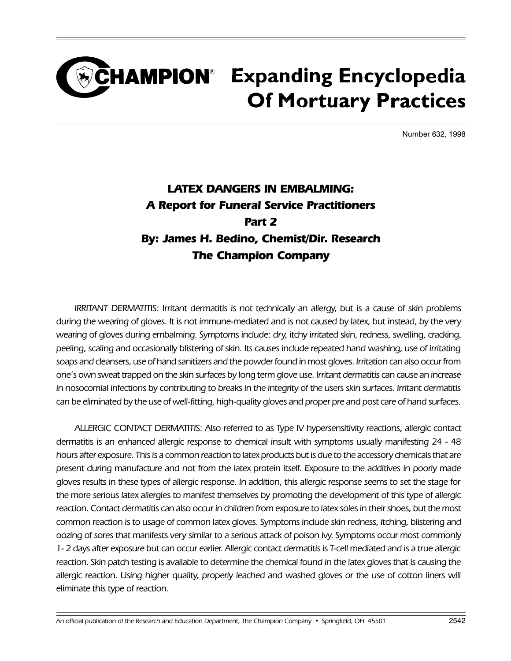### CHAMPION<sup>®</sup> Expanding Encyclopedia **Of Mortuary Practices**

Number 632, 1998

#### LATEX DANGERS IN EMBALMING: A Report for Funeral Service Practitioners Part 2 By: James H. Bedino, Chemist/Dir. Research The Champion Company

IRRITANT DERMATITIS: Irritant dermatitis is not technically an allergy, but is a cause of skin problems during the wearing of gloves. It is not immune-mediated and is not caused by latex, but instead, by the very wearing of gloves during embalming. Symptoms include: dry, itchy irritated skin, redness, swelling, cracking, peeling, scaling and occasionally blistering of skin. Its causes include repeated hand washing, use of irritating soaps and cleansers, use of hand sanitizers and the powder found in most gloves. Irritation can also occur from one's own sweat trapped on the skin surfaces by long term glove use. Irritant dermatitis can cause an increase in nosocomial infections by contributing to breaks in the integrity of the users skin surfaces. Irritant dermatitis can be eliminated by the use of well-fitting, high-quality gloves and proper pre and post care of hand surfaces.

ALLERGIC CONTACT DERMATITIS: Also referred to as Type IV hypersensitivity reactions, allergic contact dermatitis is an enhanced allergic response to chemical insult with symptoms usually manifesting 24 - 48 hours after exposure. This is a common reaction to latex products but is due to the accessory chemicals that are present during manufacture and not from the latex protein itself. Exposure to the additives in poorly made gloves results in these types of allergic response. In addition, this allergic response seems to set the stage for the more serious latex allergies to manifest themselves by promoting the development of this type of allergic reaction. Contact dermatitis can also occur in children from exposure to latex soles in their shoes, but the most common reaction is to usage of common latex gloves. Symptoms include skin redness, itching, blistering and oozing of sores that manifests very similar to a serious attack of poison ivy. Symptoms occur most commonly 1- 2 days after exposure but can occur earlier. Allergic contact dermatitis is T-cell mediated and is a true allergic reaction. Skin patch testing is available to determine the chemical found in the latex gloves that is causing the allergic reaction. Using higher quality, properly leached and washed gloves or the use of cotton liners will eliminate this type of reaction.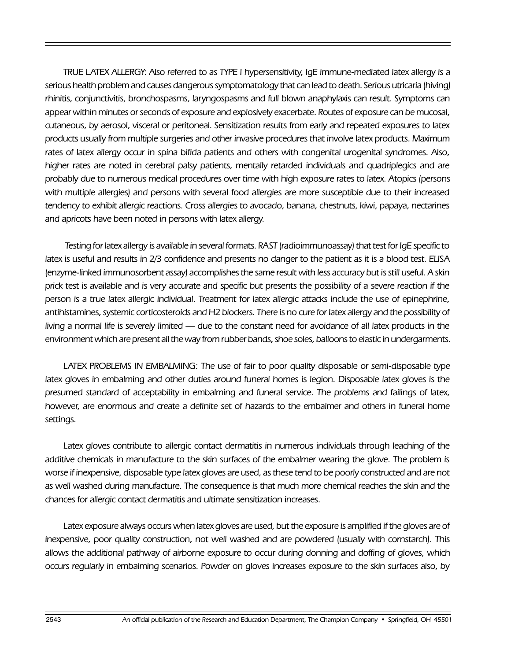TRUE LATEX ALLERGY: Also referred to as TYPE I hypersensitivity, IgE immune-mediated latex allergy is a serious health problem and causes dangerous symptomatology that can lead to death. Serious utricaria (hiving) rhinitis, conjunctivitis, bronchospasms, laryngospasms and full blown anaphylaxis can result. Symptoms can appear within minutes or seconds of exposure and explosively exacerbate. Routes of exposure can be mucosal, cutaneous, by aerosol, visceral or peritoneal. Sensitization results from early and repeated exposures to latex products usually from multiple surgeries and other invasive procedures that involve latex products. Maximum rates of latex allergy occur in spina bifida patients and others with congenital urogenital syndromes. Also, higher rates are noted in cerebral palsy patients, mentally retarded individuals and quadriplegics and are probably due to numerous medical procedures over time with high exposure rates to latex. Atopics (persons with multiple allergies) and persons with several food allergies are more susceptible due to their increased tendency to exhibit allergic reactions. Cross allergies to avocado, banana, chestnuts, kiwi, papaya, nectarines and apricots have been noted in persons with latex allergy.

 Testing for latex allergy is available in several formats. RAST (radioimmunoassay) that test for IgE specific to latex is useful and results in 2/3 confidence and presents no danger to the patient as it is a blood test. ELISA (enzyme-linked immunosorbent assay) accomplishes the same result with less accuracy but is still useful. A skin prick test is available and is very accurate and specific but presents the possibility of a severe reaction if the person is a true latex allergic individual. Treatment for latex allergic attacks include the use of epinephrine, antihistamines, systemic corticosteroids and H2 blockers. There is no cure for latex allergy and the possibility of living a normal life is severely limited — due to the constant need for avoidance of all latex products in the environment which are present all the way from rubber bands, shoe soles, balloons to elastic in undergarments.

LATEX PROBLEMS IN EMBALMING: The use of fair to poor quality disposable or semi-disposable type latex gloves in embalming and other duties around funeral homes is legion. Disposable latex gloves is the presumed standard of acceptability in embalming and funeral service. The problems and failings of latex, however, are enormous and create a definite set of hazards to the embalmer and others in funeral home settings.

Latex gloves contribute to allergic contact dermatitis in numerous individuals through leaching of the additive chemicals in manufacture to the skin surfaces of the embalmer wearing the glove. The problem is worse if inexpensive, disposable type latex gloves are used, as these tend to be poorly constructed and are not as well washed during manufacture. The consequence is that much more chemical reaches the skin and the chances for allergic contact dermatitis and ultimate sensitization increases.

Latex exposure always occurs when latex gloves are used, but the exposure is amplified if the gloves are of inexpensive, poor quality construction, not well washed and are powdered (usually with cornstarch). This allows the additional pathway of airborne exposure to occur during donning and doffing of gloves, which occurs regularly in embalming scenarios. Powder on gloves increases exposure to the skin surfaces also, by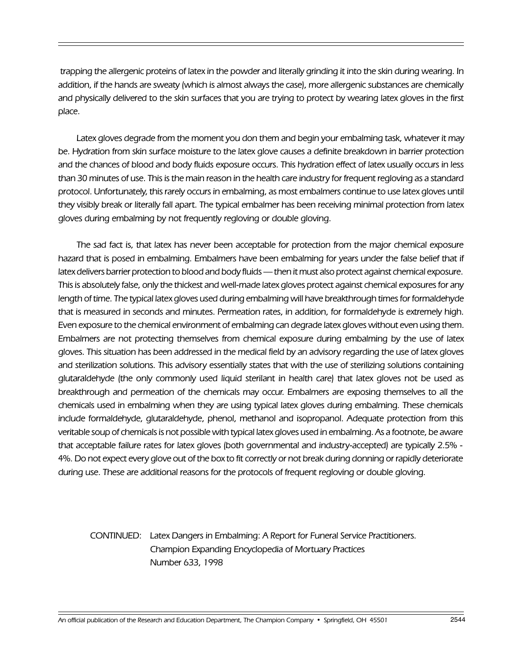trapping the allergenic proteins of latex in the powder and literally grinding it into the skin during wearing. In addition, if the hands are sweaty (which is almost always the case), more allergenic substances are chemically and physically delivered to the skin surfaces that you are trying to protect by wearing latex gloves in the first place.

Latex gloves degrade from the moment you don them and begin your embalming task, whatever it may be. Hydration from skin surface moisture to the latex glove causes a definite breakdown in barrier protection and the chances of blood and body fluids exposure occurs. This hydration effect of latex usually occurs in less than 30 minutes of use. This is the main reason in the health care industry for frequent regloving as a standard protocol. Unfortunately, this rarely occurs in embalming, as most embalmers continue to use latex gloves until they visibly break or literally fall apart. The typical embalmer has been receiving minimal protection from latex gloves during embalming by not frequently regloving or double gloving.

The sad fact is, that latex has never been acceptable for protection from the major chemical exposure hazard that is posed in embalming. Embalmers have been embalming for years under the false belief that if latex delivers barrier protection to blood and body fluids — then it must also protect against chemical exposure. This is absolutely false, only the thickest and well-made latex gloves protect against chemical exposures for any length of time. The typical latex gloves used during embalming will have breakthrough times for formaldehyde that is measured in seconds and minutes. Permeation rates, in addition, for formaldehyde is extremely high. Even exposure to the chemical environment of embalming can degrade latex gloves without even using them. Embalmers are not protecting themselves from chemical exposure during embalming by the use of latex gloves. This situation has been addressed in the medical field by an advisory regarding the use of latex gloves and sterilization solutions. This advisory essentially states that with the use of sterilizing solutions containing glutaraldehyde (the only commonly used liquid sterilant in health care) that latex gloves not be used as breakthrough and permeation of the chemicals may occur. Embalmers are exposing themselves to all the chemicals used in embalming when they are using typical latex gloves during embalming. These chemicals include formaldehyde, glutaraldehyde, phenol, methanol and isopropanol. Adequate protection from this veritable soup of chemicals is not possible with typical latex gloves used in embalming. As a footnote, be aware that acceptable failure rates for latex gloves (both governmental and industry-accepted) are typically 2.5% - 4%. Do not expect every glove out of the box to fit correctly or not break during donning or rapidly deteriorate during use. These are additional reasons for the protocols of frequent regloving or double gloving.

#### CONTINUED: Latex Dangers in Embalming: A Report for Funeral Service Practitioners. Champion Expanding Encyclopedia of Mortuary Practices Number 633, 1998